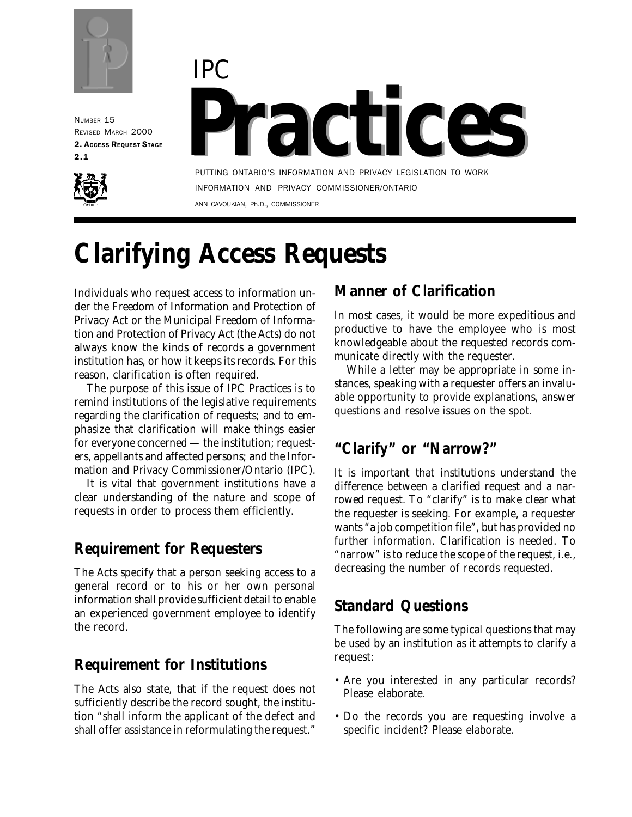

NUMBER 15 REVISED MARCH 2000 2. ACCESS REQUEST STAGE 2.1





PUTTING ONTARIO'S INFORMATION AND PRIVACY LEGISLATION TO WORK INFORMATION AND PRIVACY COMMISSIONER/ONTARIO ANN CAVOUKIAN, Ph.D., COMMISSIONER

# **Clarifying Access Requests**

Individuals who request access to information under the *Freedom of Information and Protection of Privacy Act* or the *Municipal Freedom of Information and Protection of Privacy Act* (the *Acts*) do not always know the kinds of records a government institution has, or how it keeps its records. For this reason, clarification is often required.

The purpose of this issue of *IPC Practices* is to remind institutions of the legislative requirements regarding the clarification of requests; and to emphasize that clarification will make things easier for everyone concerned — the institution; requesters, appellants and affected persons; and the Information and Privacy Commissioner/Ontario (IPC).

It is vital that government institutions have a clear understanding of the nature and scope of requests in order to process them efficiently.

# **Requirement for Requesters**

The *Acts* specify that a person seeking access to a general record or to his or her own personal information shall provide sufficient detail to enable an experienced government employee to identify the record.

### **Requirement for Institutions**

The *Acts* also state, that if the request does not sufficiently describe the record sought, the institution "shall inform the applicant of the defect and shall offer assistance in reformulating the request."

### **Manner of Clarification**

In most cases, it would be more expeditious and productive to have the employee who is most knowledgeable about the requested records communicate directly with the requester.

While a letter may be appropriate in some instances, speaking with a requester offers an invaluable opportunity to provide explanations, answer questions and resolve issues on the spot.

# **"Clarify" or "Narrow?"**

It is important that institutions understand the difference between a *clarified* request and a *narrowed* request. To "clarify" is to make clear what the requester is seeking. For example, a requester wants "a job competition file", but has provided no further information. Clarification is needed. To "narrow" is to reduce the scope of the request, i.e., decreasing the number of records requested.

# **Standard Questions**

The following are some typical questions that may be used by an institution as it attempts to clarify a request:

- Are you interested in any particular records? Please elaborate.
- Do the records you are requesting involve a specific incident? Please elaborate.